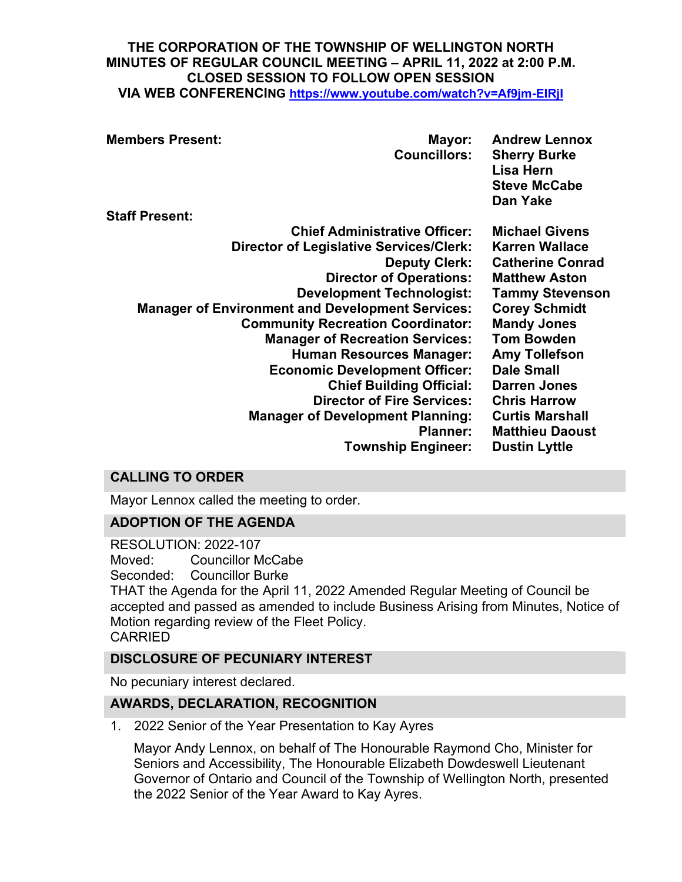#### **THE CORPORATION OF THE TOWNSHIP OF WELLINGTON NORTH MINUTES OF REGULAR COUNCIL MEETING – APRIL 11, 2022 at 2:00 P.M. CLOSED SESSION TO FOLLOW OPEN SESSION VIA WEB CONFERENCING <https://www.youtube.com/watch?v=Af9jm-EIRjI>**

| <b>Members Present:</b>                                 | Mayor:<br><b>Councillors:</b>          | <b>Andrew Lennox</b><br><b>Sherry Burke</b><br>Lisa Hern<br><b>Steve McCabe</b><br>Dan Yake |
|---------------------------------------------------------|----------------------------------------|---------------------------------------------------------------------------------------------|
| <b>Staff Present:</b>                                   |                                        |                                                                                             |
|                                                         | <b>Chief Administrative Officer:</b>   | <b>Michael Givens</b>                                                                       |
| <b>Director of Legislative Services/Clerk:</b>          |                                        | <b>Karren Wallace</b>                                                                       |
|                                                         | <b>Deputy Clerk:</b>                   | <b>Catherine Conrad</b>                                                                     |
|                                                         | <b>Director of Operations:</b>         | <b>Matthew Aston</b>                                                                        |
|                                                         | <b>Development Technologist:</b>       | <b>Tammy Stevenson</b>                                                                      |
| <b>Manager of Environment and Development Services:</b> |                                        | <b>Corey Schmidt</b>                                                                        |
| <b>Community Recreation Coordinator:</b>                |                                        | <b>Mandy Jones</b>                                                                          |
|                                                         | <b>Manager of Recreation Services:</b> | <b>Tom Bowden</b>                                                                           |
|                                                         | <b>Human Resources Manager:</b>        | <b>Amy Tollefson</b>                                                                        |
|                                                         | <b>Economic Development Officer:</b>   | <b>Dale Small</b>                                                                           |
|                                                         | <b>Chief Building Official:</b>        | <b>Darren Jones</b>                                                                         |
|                                                         | <b>Director of Fire Services:</b>      | <b>Chris Harrow</b>                                                                         |
| <b>Manager of Development Planning:</b>                 |                                        | <b>Curtis Marshall</b>                                                                      |
| <b>Planner:</b>                                         |                                        | <b>Matthieu Daoust</b>                                                                      |
|                                                         | <b>Township Engineer:</b>              | <b>Dustin Lyttle</b>                                                                        |
|                                                         |                                        |                                                                                             |

# **CALLING TO ORDER**

Mayor Lennox called the meeting to order.

## **ADOPTION OF THE AGENDA**

RESOLUTION: 2022-107 Moved: Councillor McCabe Seconded: Councillor Burke THAT the Agenda for the April 11, 2022 Amended Regular Meeting of Council be accepted and passed as amended to include Business Arising from Minutes, Notice of Motion regarding review of the Fleet Policy. CARRIED

## **DISCLOSURE OF PECUNIARY INTEREST**

No pecuniary interest declared.

## **AWARDS, DECLARATION, RECOGNITION**

1. 2022 Senior of the Year Presentation to Kay Ayres

Mayor Andy Lennox, on behalf of The Honourable Raymond Cho, Minister for Seniors and Accessibility, The Honourable Elizabeth Dowdeswell Lieutenant Governor of Ontario and Council of the Township of Wellington North, presented the 2022 Senior of the Year Award to Kay Ayres.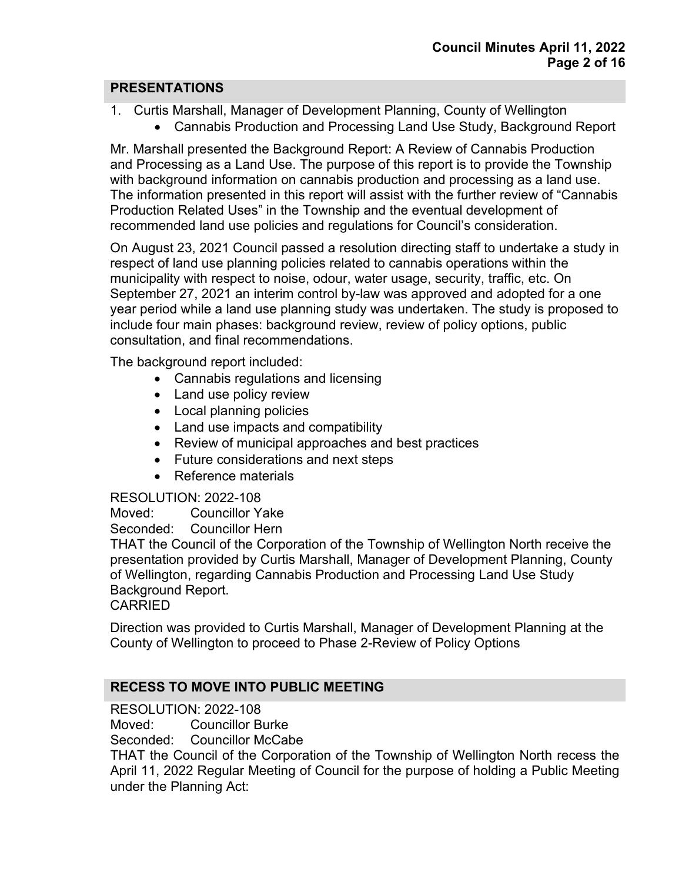## **PRESENTATIONS**

- 1. Curtis Marshall, Manager of Development Planning, County of Wellington
	- Cannabis Production and Processing Land Use Study, Background Report

Mr. Marshall presented the Background Report: A Review of Cannabis Production and Processing as a Land Use. The purpose of this report is to provide the Township with background information on cannabis production and processing as a land use. The information presented in this report will assist with the further review of "Cannabis Production Related Uses" in the Township and the eventual development of recommended land use policies and regulations for Council's consideration.

On August 23, 2021 Council passed a resolution directing staff to undertake a study in respect of land use planning policies related to cannabis operations within the municipality with respect to noise, odour, water usage, security, traffic, etc. On September 27, 2021 an interim control by-law was approved and adopted for a one year period while a land use planning study was undertaken. The study is proposed to include four main phases: background review, review of policy options, public consultation, and final recommendations.

The background report included:

- Cannabis regulations and licensing
- Land use policy review
- Local planning policies
- Land use impacts and compatibility
- Review of municipal approaches and best practices
- Future considerations and next steps
- Reference materials

#### RESOLUTION: 2022-108

Moved: Councillor Yake

Seconded: Councillor Hern

THAT the Council of the Corporation of the Township of Wellington North receive the presentation provided by Curtis Marshall, Manager of Development Planning, County of Wellington, regarding Cannabis Production and Processing Land Use Study Background Report.

CARRIED

Direction was provided to Curtis Marshall, Manager of Development Planning at the County of Wellington to proceed to Phase 2-Review of Policy Options

## **RECESS TO MOVE INTO PUBLIC MEETING**

RESOLUTION: 2022-108

Moved: Councillor Burke<br>Seconded: Councillor McCal

**Councillor McCabe** 

THAT the Council of the Corporation of the Township of Wellington North recess the April 11, 2022 Regular Meeting of Council for the purpose of holding a Public Meeting under the Planning Act: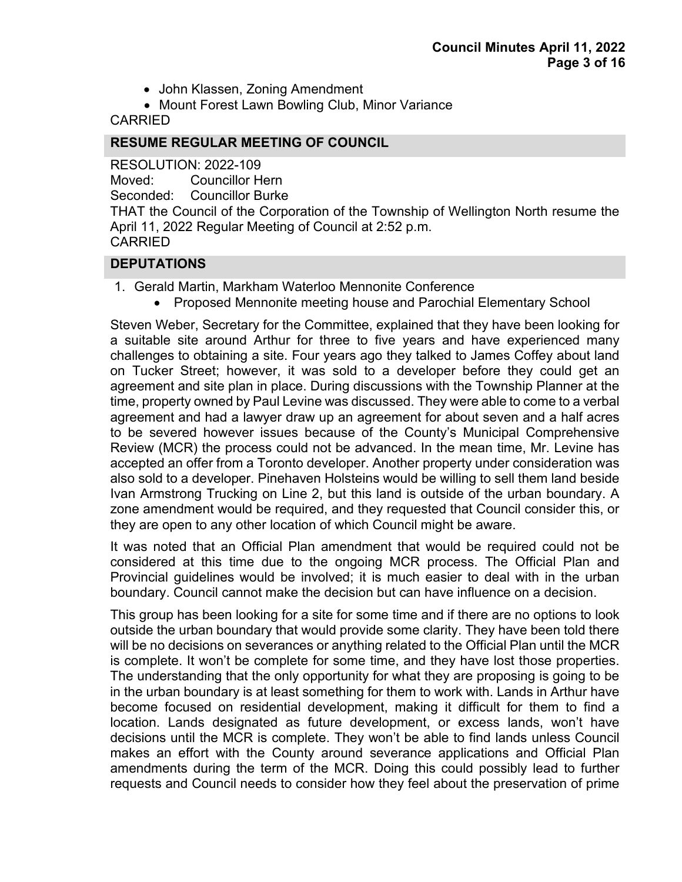- John Klassen, Zoning Amendment
- Mount Forest Lawn Bowling Club, Minor Variance

CARRIED

## **RESUME REGULAR MEETING OF COUNCIL**

RESOLUTION: 2022-109

Moved: Councillor Hern

Seconded: Councillor Burke

THAT the Council of the Corporation of the Township of Wellington North resume the April 11, 2022 Regular Meeting of Council at 2:52 p.m. CARRIED

## **DEPUTATIONS**

- 1. Gerald Martin, Markham Waterloo Mennonite Conference
	- Proposed Mennonite meeting house and Parochial Elementary School

Steven Weber, Secretary for the Committee, explained that they have been looking for a suitable site around Arthur for three to five years and have experienced many challenges to obtaining a site. Four years ago they talked to James Coffey about land on Tucker Street; however, it was sold to a developer before they could get an agreement and site plan in place. During discussions with the Township Planner at the time, property owned by Paul Levine was discussed. They were able to come to a verbal agreement and had a lawyer draw up an agreement for about seven and a half acres to be severed however issues because of the County's Municipal Comprehensive Review (MCR) the process could not be advanced. In the mean time, Mr. Levine has accepted an offer from a Toronto developer. Another property under consideration was also sold to a developer. Pinehaven Holsteins would be willing to sell them land beside Ivan Armstrong Trucking on Line 2, but this land is outside of the urban boundary. A zone amendment would be required, and they requested that Council consider this, or they are open to any other location of which Council might be aware.

It was noted that an Official Plan amendment that would be required could not be considered at this time due to the ongoing MCR process. The Official Plan and Provincial guidelines would be involved; it is much easier to deal with in the urban boundary. Council cannot make the decision but can have influence on a decision.

This group has been looking for a site for some time and if there are no options to look outside the urban boundary that would provide some clarity. They have been told there will be no decisions on severances or anything related to the Official Plan until the MCR is complete. It won't be complete for some time, and they have lost those properties. The understanding that the only opportunity for what they are proposing is going to be in the urban boundary is at least something for them to work with. Lands in Arthur have become focused on residential development, making it difficult for them to find a location. Lands designated as future development, or excess lands, won't have decisions until the MCR is complete. They won't be able to find lands unless Council makes an effort with the County around severance applications and Official Plan amendments during the term of the MCR. Doing this could possibly lead to further requests and Council needs to consider how they feel about the preservation of prime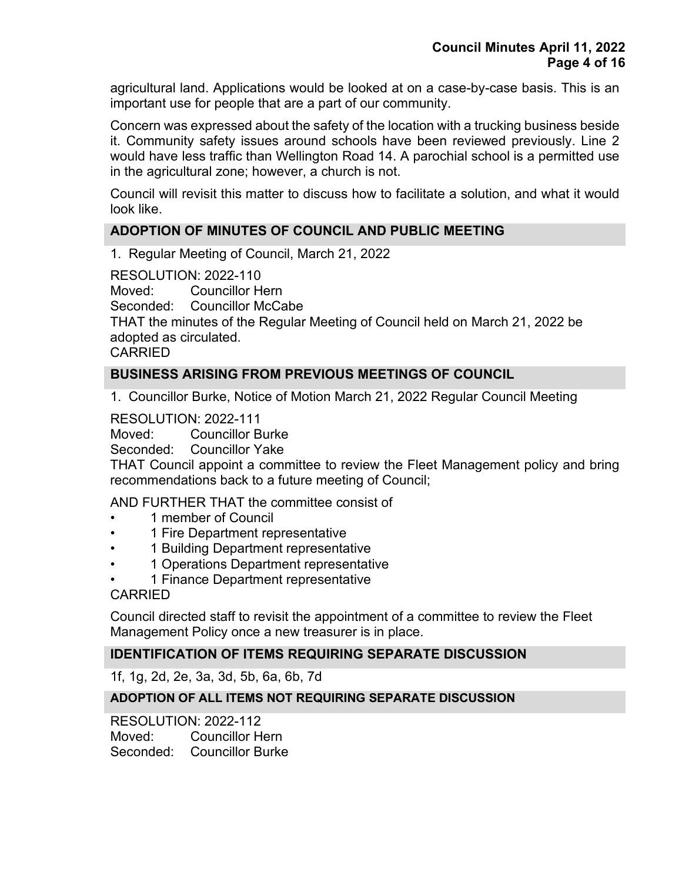agricultural land. Applications would be looked at on a case-by-case basis. This is an important use for people that are a part of our community.

Concern was expressed about the safety of the location with a trucking business beside it. Community safety issues around schools have been reviewed previously. Line 2 would have less traffic than Wellington Road 14. A parochial school is a permitted use in the agricultural zone; however, a church is not.

Council will revisit this matter to discuss how to facilitate a solution, and what it would look like.

## **ADOPTION OF MINUTES OF COUNCIL AND PUBLIC MEETING**

1. Regular Meeting of Council, March 21, 2022

RESOLUTION: 2022-110

Moved: Councillor Hern

Seconded: Councillor McCabe

THAT the minutes of the Regular Meeting of Council held on March 21, 2022 be adopted as circulated.

CARRIED

## **BUSINESS ARISING FROM PREVIOUS MEETINGS OF COUNCIL**

1. Councillor Burke, Notice of Motion March 21, 2022 Regular Council Meeting

RESOLUTION: 2022-111

Moved: Councillor Burke

Seconded: Councillor Yake

THAT Council appoint a committee to review the Fleet Management policy and bring recommendations back to a future meeting of Council;

AND FURTHER THAT the committee consist of

- 1 member of Council
- 1 Fire Department representative
- 1 Building Department representative
- 1 Operations Department representative
- 1 Finance Department representative

#### CARRIED

Council directed staff to revisit the appointment of a committee to review the Fleet Management Policy once a new treasurer is in place.

#### **IDENTIFICATION OF ITEMS REQUIRING SEPARATE DISCUSSION**

1f, 1g, 2d, 2e, 3a, 3d, 5b, 6a, 6b, 7d

#### **ADOPTION OF ALL ITEMS NOT REQUIRING SEPARATE DISCUSSION**

RESOLUTION: 2022-112 Moved: Councillor Hern Seconded: Councillor Burke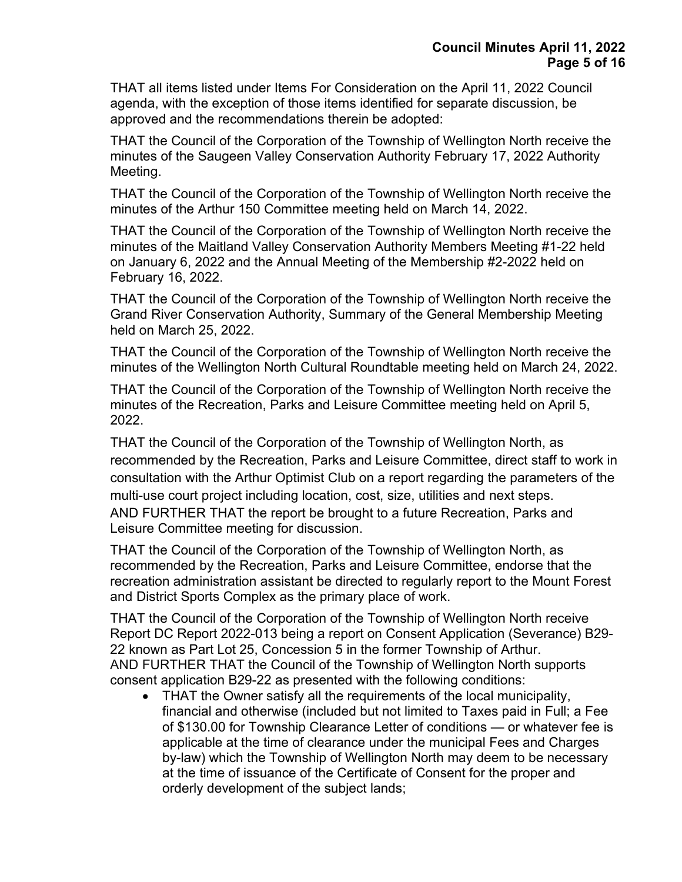THAT all items listed under Items For Consideration on the April 11, 2022 Council agenda, with the exception of those items identified for separate discussion, be approved and the recommendations therein be adopted:

THAT the Council of the Corporation of the Township of Wellington North receive the minutes of the Saugeen Valley Conservation Authority February 17, 2022 Authority Meeting.

THAT the Council of the Corporation of the Township of Wellington North receive the minutes of the Arthur 150 Committee meeting held on March 14, 2022.

THAT the Council of the Corporation of the Township of Wellington North receive the minutes of the Maitland Valley Conservation Authority Members Meeting #1-22 held on January 6, 2022 and the Annual Meeting of the Membership #2-2022 held on February 16, 2022.

THAT the Council of the Corporation of the Township of Wellington North receive the Grand River Conservation Authority, Summary of the General Membership Meeting held on March 25, 2022.

THAT the Council of the Corporation of the Township of Wellington North receive the minutes of the Wellington North Cultural Roundtable meeting held on March 24, 2022.

THAT the Council of the Corporation of the Township of Wellington North receive the minutes of the Recreation, Parks and Leisure Committee meeting held on April 5, 2022.

THAT the Council of the Corporation of the Township of Wellington North, as recommended by the Recreation, Parks and Leisure Committee, direct staff to work in consultation with the Arthur Optimist Club on a report regarding the parameters of the multi-use court project including location, cost, size, utilities and next steps. AND FURTHER THAT the report be brought to a future Recreation, Parks and Leisure Committee meeting for discussion.

THAT the Council of the Corporation of the Township of Wellington North, as recommended by the Recreation, Parks and Leisure Committee, endorse that the recreation administration assistant be directed to regularly report to the Mount Forest and District Sports Complex as the primary place of work.

THAT the Council of the Corporation of the Township of Wellington North receive Report DC Report 2022-013 being a report on Consent Application (Severance) B29- 22 known as Part Lot 25, Concession 5 in the former Township of Arthur. AND FURTHER THAT the Council of the Township of Wellington North supports consent application B29-22 as presented with the following conditions:

• THAT the Owner satisfy all the requirements of the local municipality, financial and otherwise (included but not limited to Taxes paid in Full; a Fee of \$130.00 for Township Clearance Letter of conditions — or whatever fee is applicable at the time of clearance under the municipal Fees and Charges by-law) which the Township of Wellington North may deem to be necessary at the time of issuance of the Certificate of Consent for the proper and orderly development of the subject lands;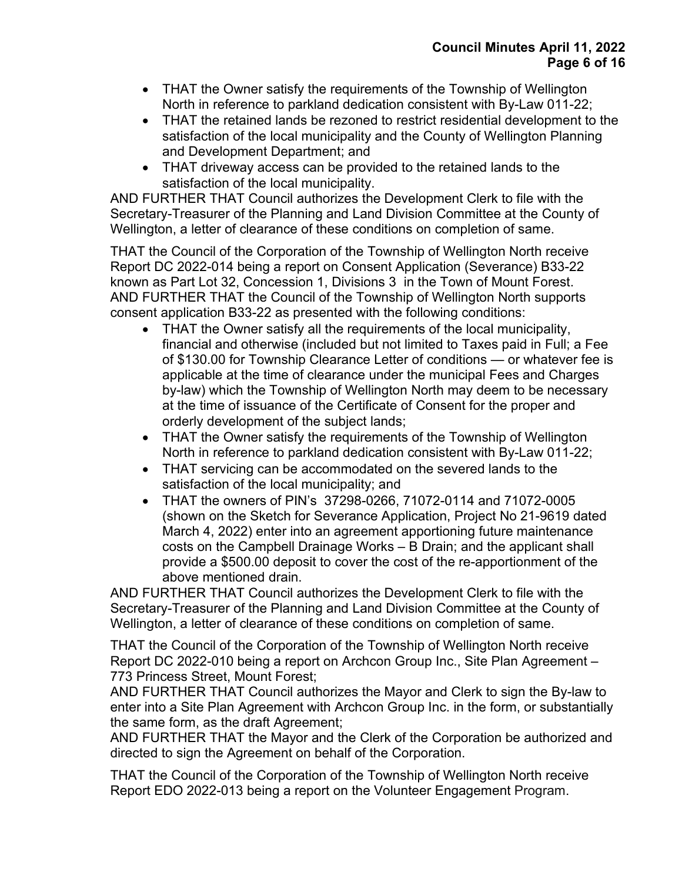- THAT the Owner satisfy the requirements of the Township of Wellington North in reference to parkland dedication consistent with By-Law 011-22;
- THAT the retained lands be rezoned to restrict residential development to the satisfaction of the local municipality and the County of Wellington Planning and Development Department; and
- THAT driveway access can be provided to the retained lands to the satisfaction of the local municipality.

AND FURTHER THAT Council authorizes the Development Clerk to file with the Secretary-Treasurer of the Planning and Land Division Committee at the County of Wellington, a letter of clearance of these conditions on completion of same.

THAT the Council of the Corporation of the Township of Wellington North receive Report DC 2022-014 being a report on Consent Application (Severance) B33-22 known as Part Lot 32, Concession 1, Divisions 3 in the Town of Mount Forest. AND FURTHER THAT the Council of the Township of Wellington North supports consent application B33-22 as presented with the following conditions:

- THAT the Owner satisfy all the requirements of the local municipality, financial and otherwise (included but not limited to Taxes paid in Full; a Fee of \$130.00 for Township Clearance Letter of conditions — or whatever fee is applicable at the time of clearance under the municipal Fees and Charges by-law) which the Township of Wellington North may deem to be necessary at the time of issuance of the Certificate of Consent for the proper and orderly development of the subject lands;
- THAT the Owner satisfy the requirements of the Township of Wellington North in reference to parkland dedication consistent with By-Law 011-22;
- THAT servicing can be accommodated on the severed lands to the satisfaction of the local municipality; and
- THAT the owners of PIN's 37298-0266, 71072-0114 and 71072-0005 (shown on the Sketch for Severance Application, Project No 21-9619 dated March 4, 2022) enter into an agreement apportioning future maintenance costs on the Campbell Drainage Works – B Drain; and the applicant shall provide a \$500.00 deposit to cover the cost of the re-apportionment of the above mentioned drain.

AND FURTHER THAT Council authorizes the Development Clerk to file with the Secretary-Treasurer of the Planning and Land Division Committee at the County of Wellington, a letter of clearance of these conditions on completion of same.

THAT the Council of the Corporation of the Township of Wellington North receive Report DC 2022-010 being a report on Archcon Group Inc., Site Plan Agreement – 773 Princess Street, Mount Forest;

AND FURTHER THAT Council authorizes the Mayor and Clerk to sign the By-law to enter into a Site Plan Agreement with Archcon Group Inc. in the form, or substantially the same form, as the draft Agreement;

AND FURTHER THAT the Mayor and the Clerk of the Corporation be authorized and directed to sign the Agreement on behalf of the Corporation.

THAT the Council of the Corporation of the Township of Wellington North receive Report EDO 2022-013 being a report on the Volunteer Engagement Program.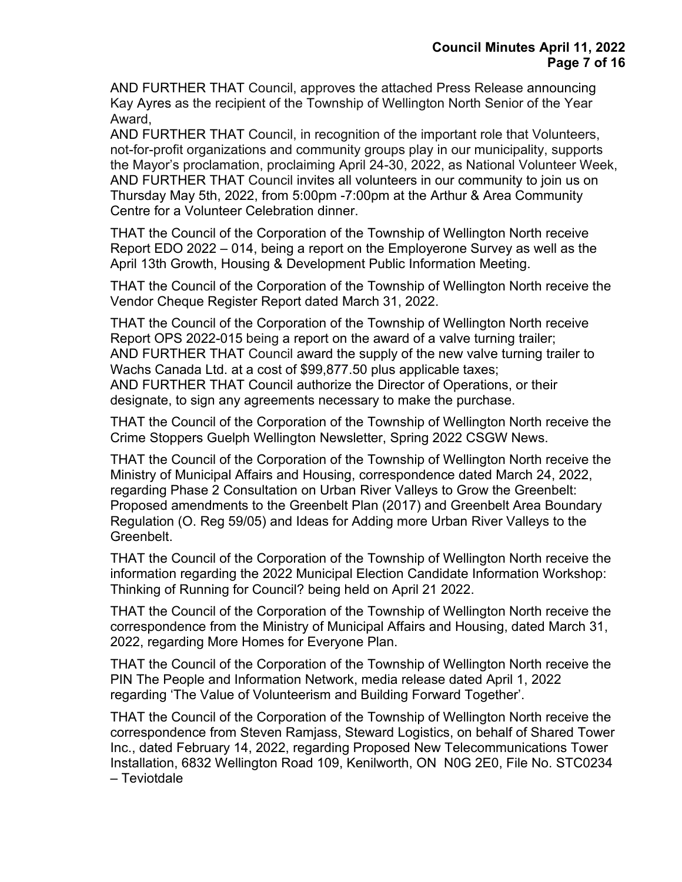AND FURTHER THAT Council, approves the attached Press Release announcing Kay Ayres as the recipient of the Township of Wellington North Senior of the Year Award,

AND FURTHER THAT Council, in recognition of the important role that Volunteers, not-for-profit organizations and community groups play in our municipality, supports the Mayor's proclamation, proclaiming April 24-30, 2022, as National Volunteer Week, AND FURTHER THAT Council invites all volunteers in our community to join us on Thursday May 5th, 2022, from 5:00pm -7:00pm at the Arthur & Area Community Centre for a Volunteer Celebration dinner.

THAT the Council of the Corporation of the Township of Wellington North receive Report EDO 2022 – 014, being a report on the Employerone Survey as well as the April 13th Growth, Housing & Development Public Information Meeting.

THAT the Council of the Corporation of the Township of Wellington North receive the Vendor Cheque Register Report dated March 31, 2022.

THAT the Council of the Corporation of the Township of Wellington North receive Report OPS 2022-015 being a report on the award of a valve turning trailer; AND FURTHER THAT Council award the supply of the new valve turning trailer to Wachs Canada Ltd. at a cost of \$99,877.50 plus applicable taxes; AND FURTHER THAT Council authorize the Director of Operations, or their designate, to sign any agreements necessary to make the purchase.

THAT the Council of the Corporation of the Township of Wellington North receive the Crime Stoppers Guelph Wellington Newsletter, Spring 2022 CSGW News.

THAT the Council of the Corporation of the Township of Wellington North receive the Ministry of Municipal Affairs and Housing, correspondence dated March 24, 2022, regarding Phase 2 Consultation on Urban River Valleys to Grow the Greenbelt: Proposed amendments to the Greenbelt Plan (2017) and Greenbelt Area Boundary Regulation (O. Reg 59/05) and Ideas for Adding more Urban River Valleys to the Greenbelt.

THAT the Council of the Corporation of the Township of Wellington North receive the information regarding the 2022 Municipal Election Candidate Information Workshop: Thinking of Running for Council? being held on April 21 2022.

THAT the Council of the Corporation of the Township of Wellington North receive the correspondence from the Ministry of Municipal Affairs and Housing, dated March 31, 2022, regarding More Homes for Everyone Plan.

THAT the Council of the Corporation of the Township of Wellington North receive the PIN The People and Information Network, media release dated April 1, 2022 regarding 'The Value of Volunteerism and Building Forward Together'.

THAT the Council of the Corporation of the Township of Wellington North receive the correspondence from Steven Ramjass, Steward Logistics, on behalf of Shared Tower Inc., dated February 14, 2022, regarding Proposed New Telecommunications Tower Installation, 6832 Wellington Road 109, Kenilworth, ON N0G 2E0, File No. STC0234 – Teviotdale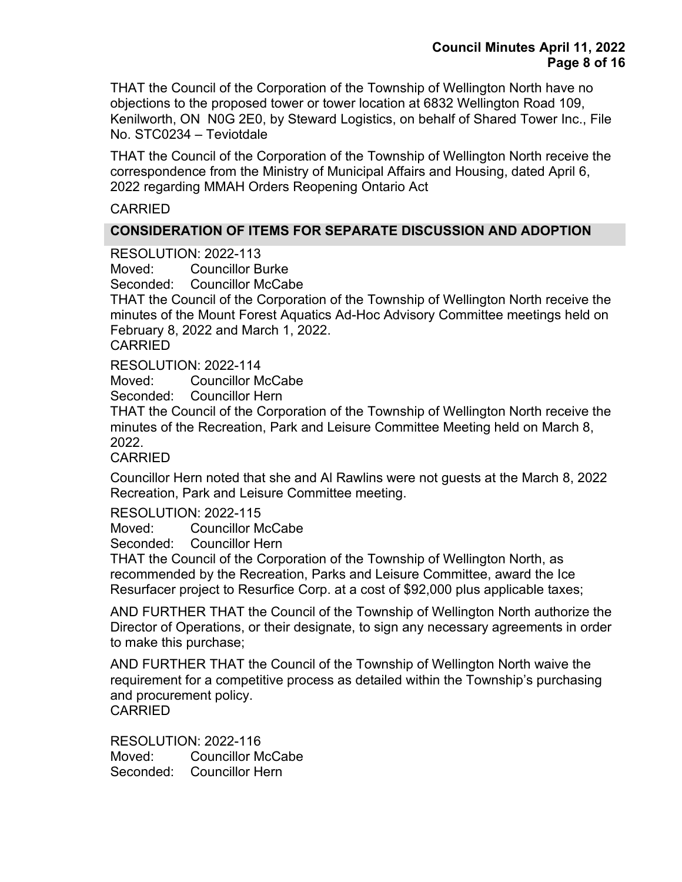THAT the Council of the Corporation of the Township of Wellington North have no objections to the proposed tower or tower location at 6832 Wellington Road 109, Kenilworth, ON N0G 2E0, by Steward Logistics, on behalf of Shared Tower Inc., File No. STC0234 – Teviotdale

THAT the Council of the Corporation of the Township of Wellington North receive the correspondence from the Ministry of Municipal Affairs and Housing, dated April 6, 2022 regarding MMAH Orders Reopening Ontario Act

### CARRIED

## **CONSIDERATION OF ITEMS FOR SEPARATE DISCUSSION AND ADOPTION**

RESOLUTION: 2022-113

Moved: Councillor Burke

Seconded: Councillor McCabe

THAT the Council of the Corporation of the Township of Wellington North receive the minutes of the Mount Forest Aquatics Ad-Hoc Advisory Committee meetings held on February 8, 2022 and March 1, 2022.

CARRIED

RESOLUTION: 2022-114

Moved: Councillor McCabe

Seconded: Councillor Hern

THAT the Council of the Corporation of the Township of Wellington North receive the minutes of the Recreation, Park and Leisure Committee Meeting held on March 8, 2022.

CARRIED

Councillor Hern noted that she and Al Rawlins were not guests at the March 8, 2022 Recreation, Park and Leisure Committee meeting.

RESOLUTION: 2022-115

Moved: Councillor McCabe

Seconded: Councillor Hern

THAT the Council of the Corporation of the Township of Wellington North, as recommended by the Recreation, Parks and Leisure Committee, award the Ice Resurfacer project to Resurfice Corp. at a cost of \$92,000 plus applicable taxes;

AND FURTHER THAT the Council of the Township of Wellington North authorize the Director of Operations, or their designate, to sign any necessary agreements in order to make this purchase;

AND FURTHER THAT the Council of the Township of Wellington North waive the requirement for a competitive process as detailed within the Township's purchasing and procurement policy. CARRIED

RESOLUTION: 2022-116 Moved: Councillor McCabe Seconded: Councillor Hern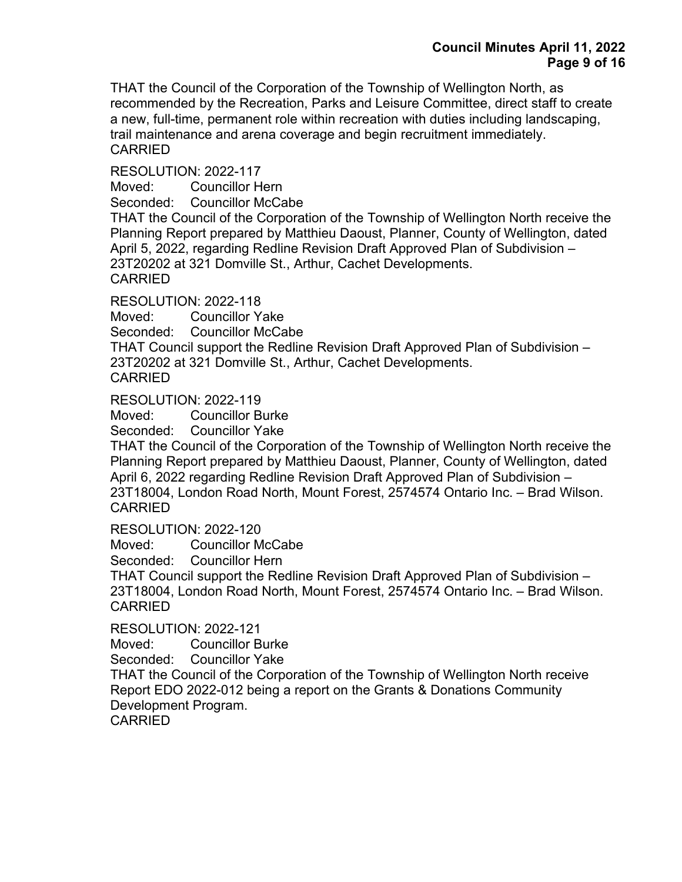THAT the Council of the Corporation of the Township of Wellington North, as recommended by the Recreation, Parks and Leisure Committee, direct staff to create a new, full-time, permanent role within recreation with duties including landscaping, trail maintenance and arena coverage and begin recruitment immediately. CARRIED

RESOLUTION: 2022-117

Moved: Councillor Hern

Seconded: Councillor McCabe

THAT the Council of the Corporation of the Township of Wellington North receive the Planning Report prepared by Matthieu Daoust, Planner, County of Wellington, dated April 5, 2022, regarding Redline Revision Draft Approved Plan of Subdivision – 23T20202 at 321 Domville St., Arthur, Cachet Developments. CARRIED

RESOLUTION: 2022-118

Moved: Councillor Yake

Seconded: Councillor McCabe

THAT Council support the Redline Revision Draft Approved Plan of Subdivision – 23T20202 at 321 Domville St., Arthur, Cachet Developments.

```
CARRIED
```
RESOLUTION: 2022-119

Moved: Councillor Burke

Seconded: Councillor Yake

THAT the Council of the Corporation of the Township of Wellington North receive the Planning Report prepared by Matthieu Daoust, Planner, County of Wellington, dated April 6, 2022 regarding Redline Revision Draft Approved Plan of Subdivision – 23T18004, London Road North, Mount Forest, 2574574 Ontario Inc. – Brad Wilson. CARRIED

RESOLUTION: 2022-120

Moved: Councillor McCabe

Seconded: Councillor Hern

THAT Council support the Redline Revision Draft Approved Plan of Subdivision – 23T18004, London Road North, Mount Forest, 2574574 Ontario Inc. – Brad Wilson. **CARRIED** 

RESOLUTION: 2022-121

Moved: Councillor Burke

Seconded: Councillor Yake

THAT the Council of the Corporation of the Township of Wellington North receive Report EDO 2022-012 being a report on the Grants & Donations Community Development Program.

CARRIED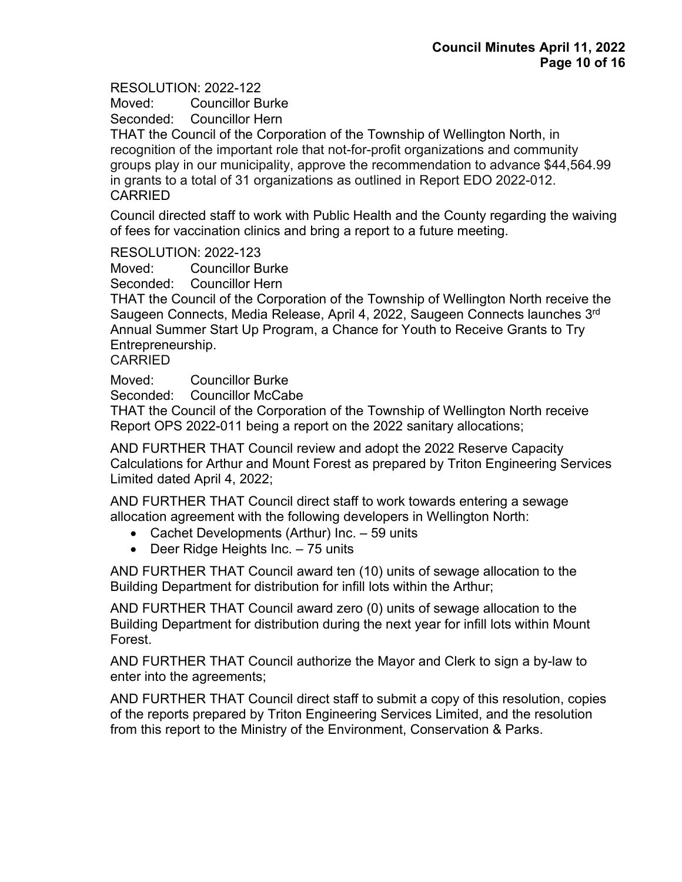Moved: Councillor Burke

Seconded: Councillor Hern

THAT the Council of the Corporation of the Township of Wellington North, in recognition of the important role that not-for-profit organizations and community groups play in our municipality, approve the recommendation to advance \$44,564.99 in grants to a total of 31 organizations as outlined in Report EDO 2022-012. CARRIED

Council directed staff to work with Public Health and the County regarding the waiving of fees for vaccination clinics and bring a report to a future meeting.

RESOLUTION: 2022-123

Moved: Councillor Burke

Seconded: Councillor Hern

THAT the Council of the Corporation of the Township of Wellington North receive the Saugeen Connects, Media Release, April 4, 2022, Saugeen Connects launches 3rd Annual Summer Start Up Program, a Chance for Youth to Receive Grants to Try Entrepreneurship.

#### **CARRIED**

Moved: Councillor Burke

Seconded: Councillor McCabe

THAT the Council of the Corporation of the Township of Wellington North receive Report OPS 2022-011 being a report on the 2022 sanitary allocations;

AND FURTHER THAT Council review and adopt the 2022 Reserve Capacity Calculations for Arthur and Mount Forest as prepared by Triton Engineering Services Limited dated April 4, 2022;

AND FURTHER THAT Council direct staff to work towards entering a sewage allocation agreement with the following developers in Wellington North:

- Cachet Developments (Arthur) Inc. 59 units
- Deer Ridge Heights Inc. 75 units

AND FURTHER THAT Council award ten (10) units of sewage allocation to the Building Department for distribution for infill lots within the Arthur;

AND FURTHER THAT Council award zero (0) units of sewage allocation to the Building Department for distribution during the next year for infill lots within Mount Forest.

AND FURTHER THAT Council authorize the Mayor and Clerk to sign a by-law to enter into the agreements;

AND FURTHER THAT Council direct staff to submit a copy of this resolution, copies of the reports prepared by Triton Engineering Services Limited, and the resolution from this report to the Ministry of the Environment, Conservation & Parks.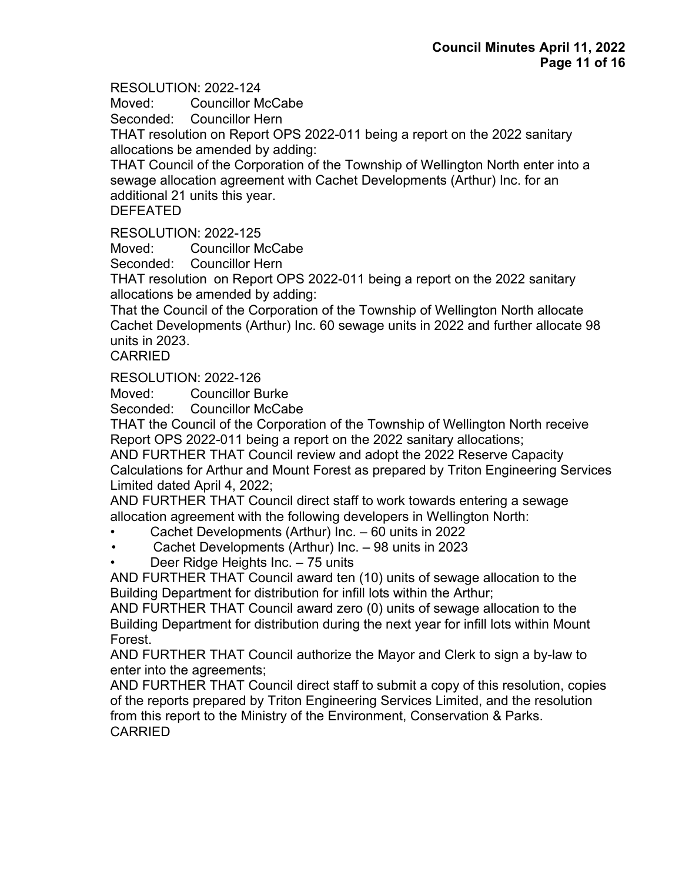Moved: Councillor McCabe

Seconded: Councillor Hern

THAT resolution on Report OPS 2022-011 being a report on the 2022 sanitary allocations be amended by adding:

THAT Council of the Corporation of the Township of Wellington North enter into a sewage allocation agreement with Cachet Developments (Arthur) Inc. for an additional 21 units this year.

## DEFEATED

RESOLUTION: 2022-125

Moved: Councillor McCabe

Seconded: Councillor Hern

THAT resolution on Report OPS 2022-011 being a report on the 2022 sanitary allocations be amended by adding:

That the Council of the Corporation of the Township of Wellington North allocate Cachet Developments (Arthur) Inc. 60 sewage units in 2022 and further allocate 98 units in 2023.

CARRIED

RESOLUTION: 2022-126

Moved: Councillor Burke

Seconded: Councillor McCabe

THAT the Council of the Corporation of the Township of Wellington North receive Report OPS 2022-011 being a report on the 2022 sanitary allocations;

AND FURTHER THAT Council review and adopt the 2022 Reserve Capacity Calculations for Arthur and Mount Forest as prepared by Triton Engineering Services Limited dated April 4, 2022;

AND FURTHER THAT Council direct staff to work towards entering a sewage allocation agreement with the following developers in Wellington North:

- Cachet Developments (Arthur) Inc. 60 units in 2022
- Cachet Developments (Arthur) Inc. 98 units in 2023
- Deer Ridge Heights Inc. 75 units

AND FURTHER THAT Council award ten (10) units of sewage allocation to the Building Department for distribution for infill lots within the Arthur;

AND FURTHER THAT Council award zero (0) units of sewage allocation to the Building Department for distribution during the next year for infill lots within Mount Forest.

AND FURTHER THAT Council authorize the Mayor and Clerk to sign a by-law to enter into the agreements;

AND FURTHER THAT Council direct staff to submit a copy of this resolution, copies of the reports prepared by Triton Engineering Services Limited, and the resolution from this report to the Ministry of the Environment, Conservation & Parks. CARRIED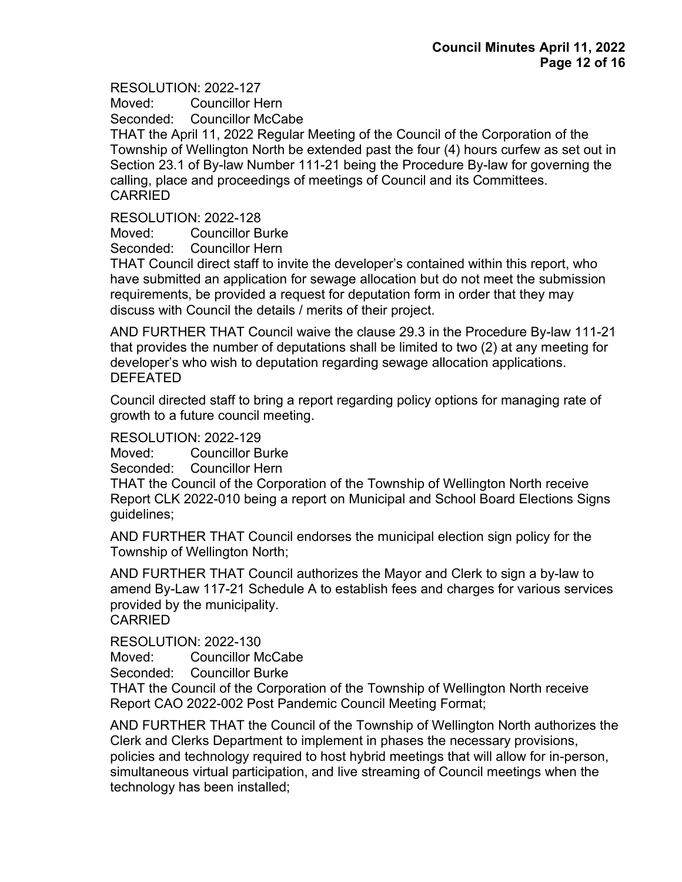Moved: Councillor Hern Seconded: Councillor McCabe

THAT the April 11, 2022 Regular Meeting of the Council of the Corporation of the Township of Wellington North be extended past the four (4) hours curfew as set out in Section 23.1 of By-law Number 111-21 being the Procedure By-law for governing the calling, place and proceedings of meetings of Council and its Committees. CARRIED

RESOLUTION: 2022-128

Moved: Councillor Burke

Seconded: Councillor Hern

THAT Council direct staff to invite the developer's contained within this report, who have submitted an application for sewage allocation but do not meet the submission requirements, be provided a request for deputation form in order that they may discuss with Council the details / merits of their project.

AND FURTHER THAT Council waive the clause 29.3 in the Procedure By-law 111-21 that provides the number of deputations shall be limited to two (2) at any meeting for developer's who wish to deputation regarding sewage allocation applications. DEFEATED

Council directed staff to bring a report regarding policy options for managing rate of growth to a future council meeting.

RESOLUTION: 2022-129

Moved: Councillor Burke

Seconded: Councillor Hern

THAT the Council of the Corporation of the Township of Wellington North receive Report CLK 2022-010 being a report on Municipal and School Board Elections Signs guidelines;

AND FURTHER THAT Council endorses the municipal election sign policy for the Township of Wellington North;

AND FURTHER THAT Council authorizes the Mayor and Clerk to sign a by-law to amend By-Law 117-21 Schedule A to establish fees and charges for various services provided by the municipality.

**CARRIED** 

RESOLUTION: 2022-130

Moved: Councillor McCabe

Seconded: Councillor Burke

THAT the Council of the Corporation of the Township of Wellington North receive Report CAO 2022-002 Post Pandemic Council Meeting Format;

AND FURTHER THAT the Council of the Township of Wellington North authorizes the Clerk and Clerks Department to implement in phases the necessary provisions, policies and technology required to host hybrid meetings that will allow for in-person, simultaneous virtual participation, and live streaming of Council meetings when the technology has been installed;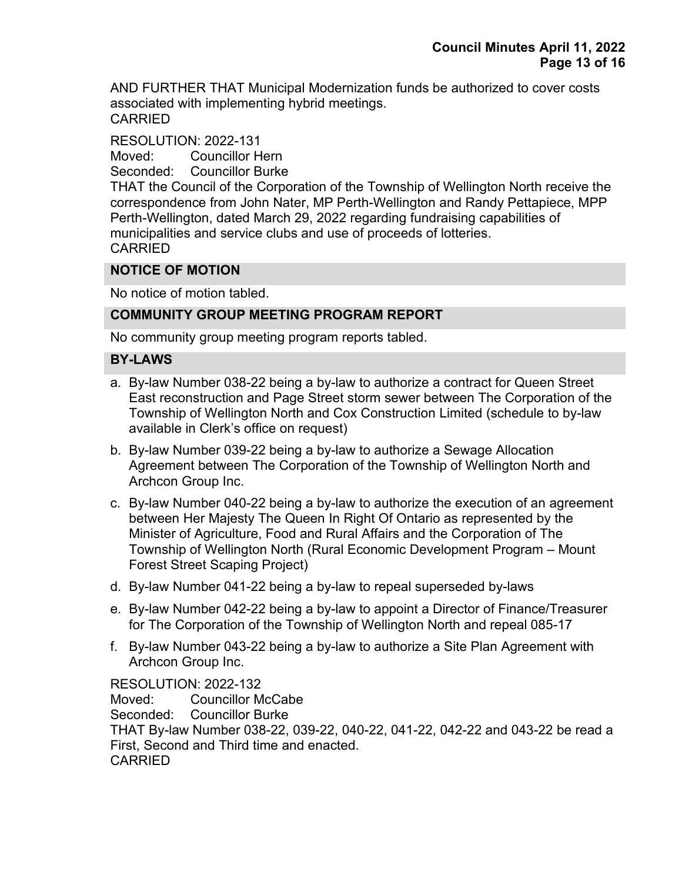AND FURTHER THAT Municipal Modernization funds be authorized to cover costs associated with implementing hybrid meetings. CARRIED

RESOLUTION: 2022-131 Moved: Councillor Hern Seconded: Councillor Burke THAT the Council of the Corporation of the Township of Wellington North receive the correspondence from John Nater, MP Perth-Wellington and Randy Pettapiece, MPP Perth-Wellington, dated March 29, 2022 regarding fundraising capabilities of municipalities and service clubs and use of proceeds of lotteries. CARRIED

## **NOTICE OF MOTION**

No notice of motion tabled.

## **COMMUNITY GROUP MEETING PROGRAM REPORT**

No community group meeting program reports tabled.

#### **BY-LAWS**

- a. By-law Number 038-22 being a by-law to authorize a contract for Queen Street East reconstruction and Page Street storm sewer between The Corporation of the Township of Wellington North and Cox Construction Limited (schedule to by-law available in Clerk's office on request)
- b. By-law Number 039-22 being a by-law to authorize a Sewage Allocation Agreement between The Corporation of the Township of Wellington North and Archcon Group Inc.
- c. By-law Number 040-22 being a by-law to authorize the execution of an agreement between Her Majesty The Queen In Right Of Ontario as represented by the Minister of Agriculture, Food and Rural Affairs and the Corporation of The Township of Wellington North (Rural Economic Development Program – Mount Forest Street Scaping Project)
- d. By-law Number 041-22 being a by-law to repeal superseded by-laws
- e. By-law Number 042-22 being a by-law to appoint a Director of Finance/Treasurer for The Corporation of the Township of Wellington North and repeal 085-17
- f. By-law Number 043-22 being a by-law to authorize a Site Plan Agreement with Archcon Group Inc.

RESOLUTION: 2022-132

Moved: Councillor McCabe Seconded: Councillor Burke THAT By-law Number 038-22, 039-22, 040-22, 041-22, 042-22 and 043-22 be read a First, Second and Third time and enacted. **CARRIED**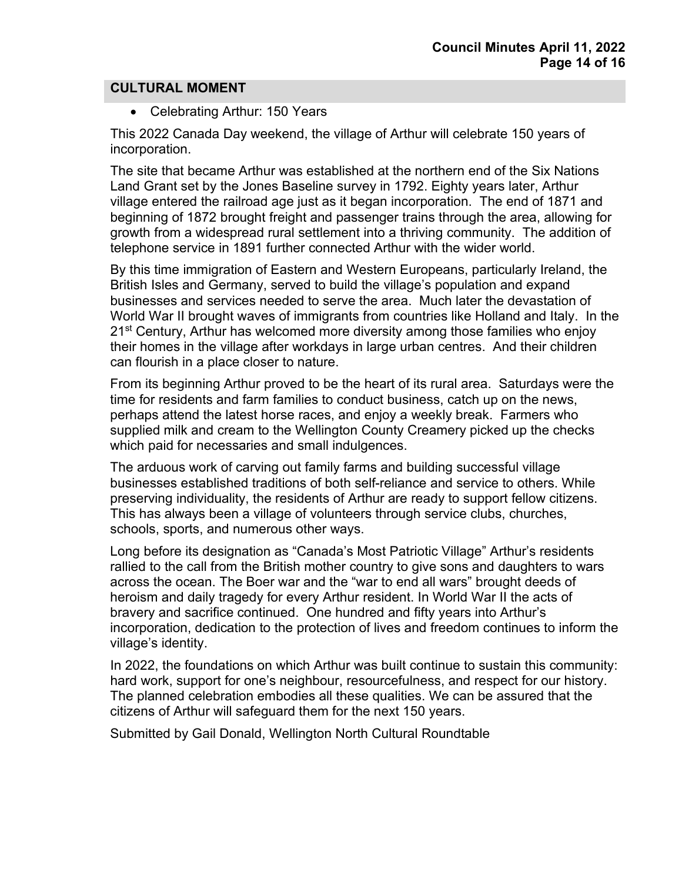#### **CULTURAL MOMENT**

• Celebrating Arthur: 150 Years

This 2022 Canada Day weekend, the village of Arthur will celebrate 150 years of incorporation.

The site that became Arthur was established at the northern end of the Six Nations Land Grant set by the Jones Baseline survey in 1792. Eighty years later, Arthur village entered the railroad age just as it began incorporation. The end of 1871 and beginning of 1872 brought freight and passenger trains through the area, allowing for growth from a widespread rural settlement into a thriving community. The addition of telephone service in 1891 further connected Arthur with the wider world.

By this time immigration of Eastern and Western Europeans, particularly Ireland, the British Isles and Germany, served to build the village's population and expand businesses and services needed to serve the area. Much later the devastation of World War II brought waves of immigrants from countries like Holland and Italy. In the 21<sup>st</sup> Century, Arthur has welcomed more diversity among those families who enjoy their homes in the village after workdays in large urban centres. And their children can flourish in a place closer to nature.

From its beginning Arthur proved to be the heart of its rural area. Saturdays were the time for residents and farm families to conduct business, catch up on the news, perhaps attend the latest horse races, and enjoy a weekly break. Farmers who supplied milk and cream to the Wellington County Creamery picked up the checks which paid for necessaries and small indulgences.

The arduous work of carving out family farms and building successful village businesses established traditions of both self-reliance and service to others. While preserving individuality, the residents of Arthur are ready to support fellow citizens. This has always been a village of volunteers through service clubs, churches, schools, sports, and numerous other ways.

Long before its designation as "Canada's Most Patriotic Village" Arthur's residents rallied to the call from the British mother country to give sons and daughters to wars across the ocean. The Boer war and the "war to end all wars" brought deeds of heroism and daily tragedy for every Arthur resident. In World War II the acts of bravery and sacrifice continued. One hundred and fifty years into Arthur's incorporation, dedication to the protection of lives and freedom continues to inform the village's identity.

In 2022, the foundations on which Arthur was built continue to sustain this community: hard work, support for one's neighbour, resourcefulness, and respect for our history. The planned celebration embodies all these qualities. We can be assured that the citizens of Arthur will safeguard them for the next 150 years.

Submitted by Gail Donald, Wellington North Cultural Roundtable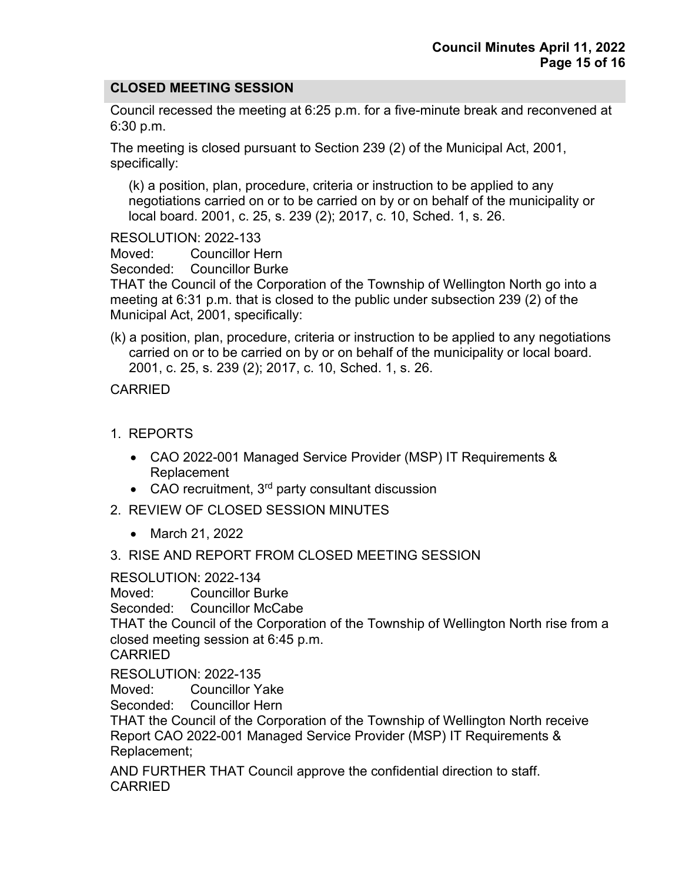## **CLOSED MEETING SESSION**

Council recessed the meeting at 6:25 p.m. for a five-minute break and reconvened at 6:30 p.m.

The meeting is closed pursuant to Section 239 (2) of the Municipal Act, 2001, specifically:

(k) a position, plan, procedure, criteria or instruction to be applied to any negotiations carried on or to be carried on by or on behalf of the municipality or local board. 2001, c. 25, s. 239 (2); 2017, c. 10, Sched. 1, s. 26.

RESOLUTION: 2022-133

Moved: Councillor Hern

Seconded: Councillor Burke

THAT the Council of the Corporation of the Township of Wellington North go into a meeting at 6:31 p.m. that is closed to the public under subsection 239 (2) of the Municipal Act, 2001, specifically:

(k) a position, plan, procedure, criteria or instruction to be applied to any negotiations carried on or to be carried on by or on behalf of the municipality or local board. 2001, c. 25, s. 239 (2); 2017, c. 10, Sched. 1, s. 26.

CARRIED

- 1. REPORTS
	- CAO 2022-001 Managed Service Provider (MSP) IT Requirements & Replacement
	- CAO recruitment,  $3<sup>rd</sup>$  party consultant discussion
- 2. REVIEW OF CLOSED SESSION MINUTES
	- March 21, 2022
- 3. RISE AND REPORT FROM CLOSED MEETING SESSION

#### RESOLUTION: 2022-134

Moved: Councillor Burke

Seconded: Councillor McCabe

THAT the Council of the Corporation of the Township of Wellington North rise from a closed meeting session at 6:45 p.m.

CARRIED

## RESOLUTION: 2022-135

Moved: Councillor Yake<br>Seconded: Councillor Hern Councillor Hern

THAT the Council of the Corporation of the Township of Wellington North receive Report CAO 2022-001 Managed Service Provider (MSP) IT Requirements & Replacement;

AND FURTHER THAT Council approve the confidential direction to staff. CARRIED